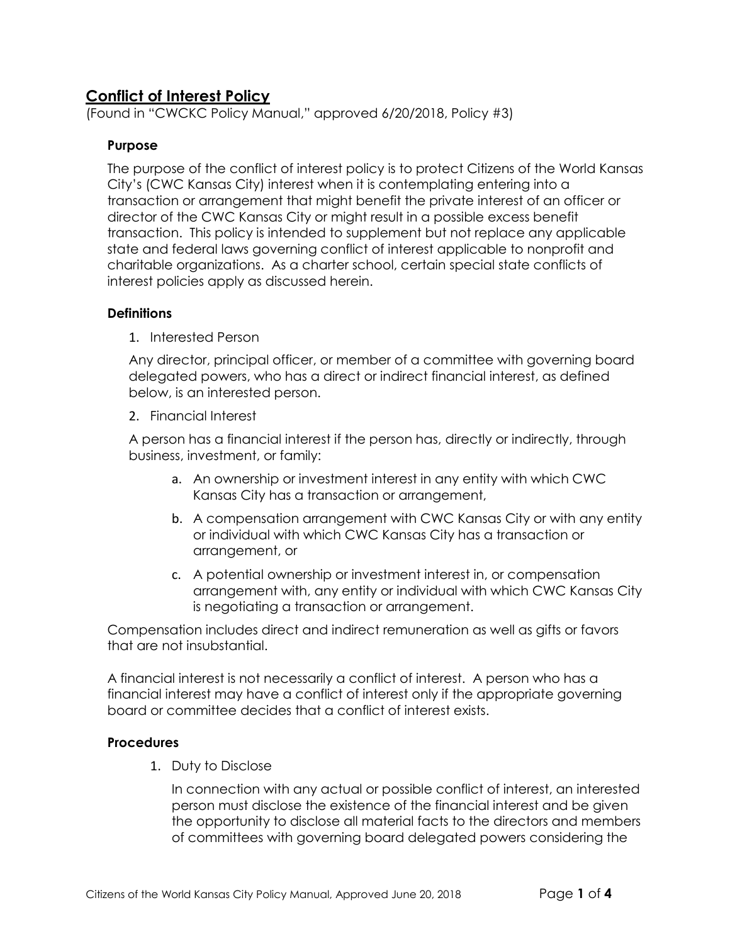## **Conflict of Interest Policy**

(Found in "CWCKC Policy Manual," approved 6/20/2018, Policy #3)

## **Purpose**

The purpose of the conflict of interest policy is to protect Citizens of the World Kansas City's (CWC Kansas City) interest when it is contemplating entering into a transaction or arrangement that might benefit the private interest of an officer or director of the CWC Kansas City or might result in a possible excess benefit transaction. This policy is intended to supplement but not replace any applicable state and federal laws governing conflict of interest applicable to nonprofit and charitable organizations. As a charter school, certain special state conflicts of interest policies apply as discussed herein.

## **Definitions**

1. Interested Person

Any director, principal officer, or member of a committee with governing board delegated powers, who has a direct or indirect financial interest, as defined below, is an interested person.

2. Financial Interest

A person has a financial interest if the person has, directly or indirectly, through business, investment, or family:

- a. An ownership or investment interest in any entity with which CWC Kansas City has a transaction or arrangement,
- b. A compensation arrangement with CWC Kansas City or with any entity or individual with which CWC Kansas City has a transaction or arrangement, or
- c. A potential ownership or investment interest in, or compensation arrangement with, any entity or individual with which CWC Kansas City is negotiating a transaction or arrangement.

Compensation includes direct and indirect remuneration as well as gifts or favors that are not insubstantial.

A financial interest is not necessarily a conflict of interest. A person who has a financial interest may have a conflict of interest only if the appropriate governing board or committee decides that a conflict of interest exists.

## **Procedures**

1. Duty to Disclose

In connection with any actual or possible conflict of interest, an interested person must disclose the existence of the financial interest and be given the opportunity to disclose all material facts to the directors and members of committees with governing board delegated powers considering the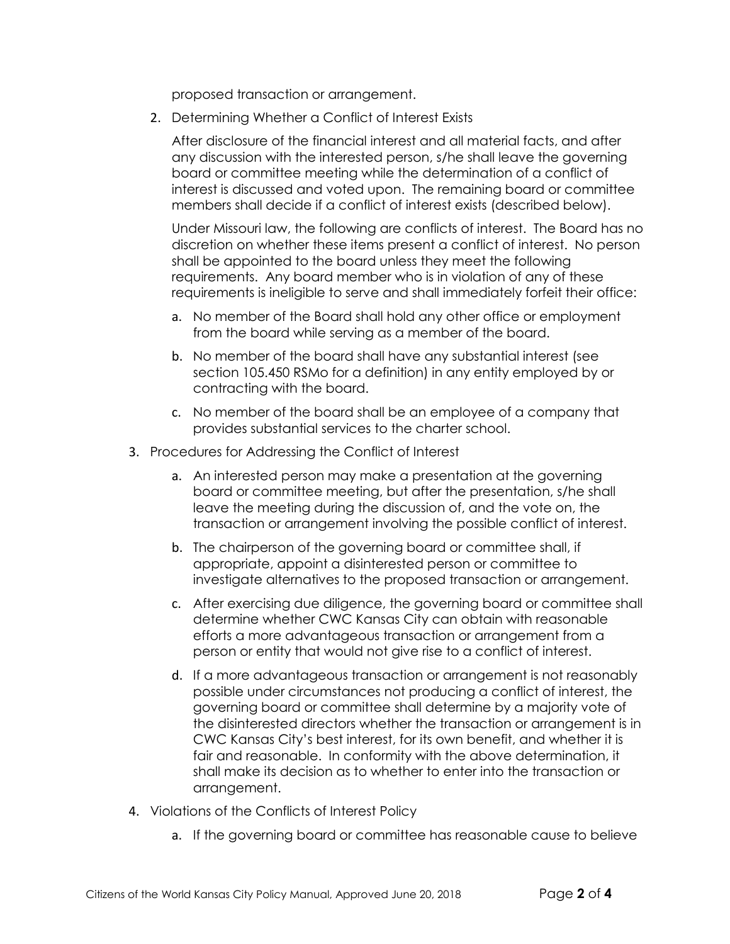proposed transaction or arrangement.

2. Determining Whether a Conflict of Interest Exists

After disclosure of the financial interest and all material facts, and after any discussion with the interested person, s/he shall leave the governing board or committee meeting while the determination of a conflict of interest is discussed and voted upon. The remaining board or committee members shall decide if a conflict of interest exists (described below).

Under Missouri law, the following are conflicts of interest. The Board has no discretion on whether these items present a conflict of interest. No person shall be appointed to the board unless they meet the following requirements. Any board member who is in violation of any of these requirements is ineligible to serve and shall immediately forfeit their office:

- a. No member of the Board shall hold any other office or employment from the board while serving as a member of the board.
- b. No member of the board shall have any substantial interest (see section 105.450 RSMo for a definition) in any entity employed by or contracting with the board.
- c. No member of the board shall be an employee of a company that provides substantial services to the charter school.
- 3. Procedures for Addressing the Conflict of Interest
	- a. An interested person may make a presentation at the governing board or committee meeting, but after the presentation, s/he shall leave the meeting during the discussion of, and the vote on, the transaction or arrangement involving the possible conflict of interest.
	- b. The chairperson of the governing board or committee shall, if appropriate, appoint a disinterested person or committee to investigate alternatives to the proposed transaction or arrangement.
	- c. After exercising due diligence, the governing board or committee shall determine whether CWC Kansas City can obtain with reasonable efforts a more advantageous transaction or arrangement from a person or entity that would not give rise to a conflict of interest.
	- d. If a more advantageous transaction or arrangement is not reasonably possible under circumstances not producing a conflict of interest, the governing board or committee shall determine by a majority vote of the disinterested directors whether the transaction or arrangement is in CWC Kansas City's best interest, for its own benefit, and whether it is fair and reasonable. In conformity with the above determination, it shall make its decision as to whether to enter into the transaction or arrangement.
- 4. Violations of the Conflicts of Interest Policy
	- a. If the governing board or committee has reasonable cause to believe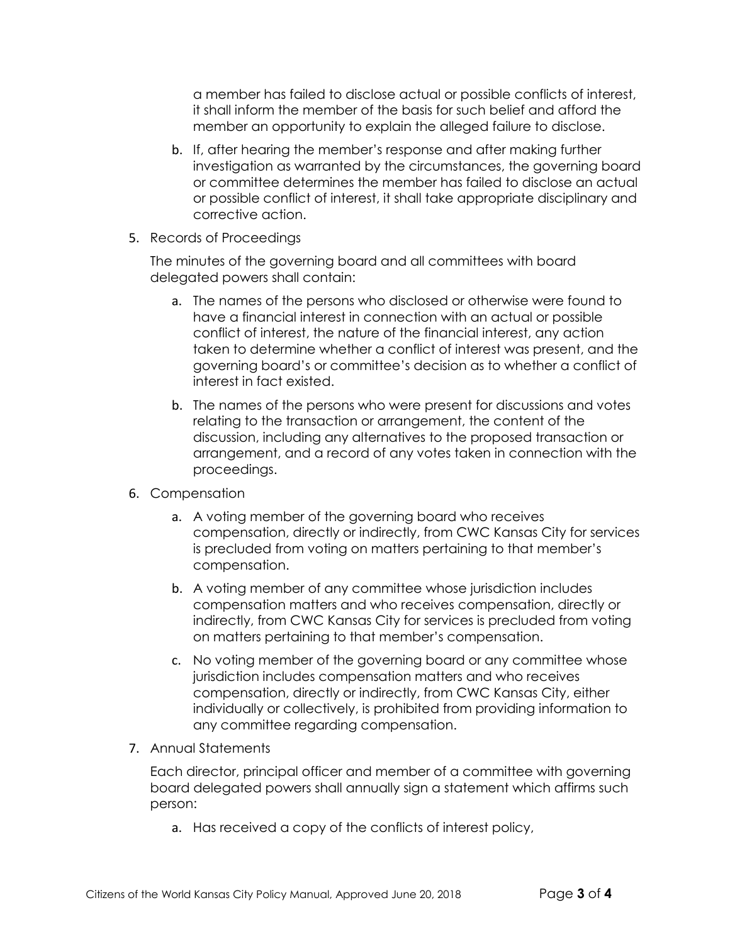a member has failed to disclose actual or possible conflicts of interest, it shall inform the member of the basis for such belief and afford the member an opportunity to explain the alleged failure to disclose.

- b. If, after hearing the member's response and after making further investigation as warranted by the circumstances, the governing board or committee determines the member has failed to disclose an actual or possible conflict of interest, it shall take appropriate disciplinary and corrective action.
- 5. Records of Proceedings

The minutes of the governing board and all committees with board delegated powers shall contain:

- a. The names of the persons who disclosed or otherwise were found to have a financial interest in connection with an actual or possible conflict of interest, the nature of the financial interest, any action taken to determine whether a conflict of interest was present, and the governing board's or committee's decision as to whether a conflict of interest in fact existed.
- b. The names of the persons who were present for discussions and votes relating to the transaction or arrangement, the content of the discussion, including any alternatives to the proposed transaction or arrangement, and a record of any votes taken in connection with the proceedings.
- 6. Compensation
	- a. A voting member of the governing board who receives compensation, directly or indirectly, from CWC Kansas City for services is precluded from voting on matters pertaining to that member's compensation.
	- b. A voting member of any committee whose jurisdiction includes compensation matters and who receives compensation, directly or indirectly, from CWC Kansas City for services is precluded from voting on matters pertaining to that member's compensation.
	- c. No voting member of the governing board or any committee whose jurisdiction includes compensation matters and who receives compensation, directly or indirectly, from CWC Kansas City, either individually or collectively, is prohibited from providing information to any committee regarding compensation.
- 7. Annual Statements

Each director, principal officer and member of a committee with governing board delegated powers shall annually sign a statement which affirms such person:

a. Has received a copy of the conflicts of interest policy,